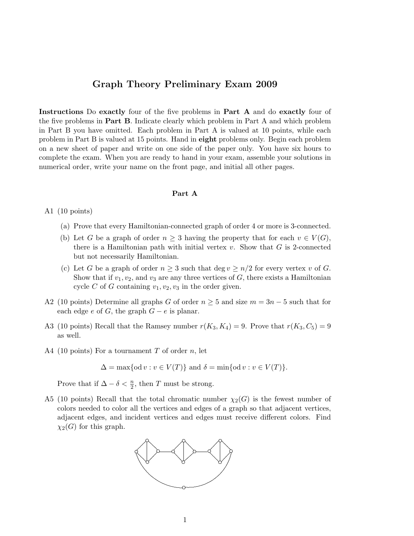## Graph Theory Preliminary Exam 2009

Instructions Do exactly four of the five problems in Part A and do exactly four of the five problems in Part B. Indicate clearly which problem in Part A and which problem in Part B you have omitted. Each problem in Part A is valued at 10 points, while each problem in Part B is valued at 15 points. Hand in eight problems only. Begin each problem on a new sheet of paper and write on one side of the paper only. You have six hours to complete the exam. When you are ready to hand in your exam, assemble your solutions in numerical order, write your name on the front page, and initial all other pages.

## Part A

A1 (10 points)

- (a) Prove that every Hamiltonian-connected graph of order 4 or more is 3-connected.
- (b) Let G be a graph of order  $n \geq 3$  having the property that for each  $v \in V(G)$ , there is a Hamiltonian path with initial vertex  $v$ . Show that  $G$  is 2-connected but not necessarily Hamiltonian.
- (c) Let G be a graph of order  $n \geq 3$  such that deg  $v \geq n/2$  for every vertex v of G. Show that if  $v_1, v_2$ , and  $v_3$  are any three vertices of G, there exists a Hamiltonian cycle C of G containing  $v_1, v_2, v_3$  in the order given.
- A2 (10 points) Determine all graphs G of order  $n \geq 5$  and size  $m = 3n 5$  such that for each edge e of G, the graph  $G - e$  is planar.
- A3 (10 points) Recall that the Ramsey number  $r(K_3, K_4) = 9$ . Prove that  $r(K_3, C_5) = 9$ as well.
- A4 (10 points) For a tournament  $T$  of order  $n$ , let

$$
\Delta = \max\{\text{od } v : v \in V(T)\}\text{ and }\delta = \min\{\text{od } v : v \in V(T)\}.
$$

Prove that if  $\Delta - \delta < \frac{n}{2}$ , then T must be strong.

A5 (10 points) Recall that the total chromatic number  $\chi_2(G)$  is the fewest number of colors needed to color all the vertices and edges of a graph so that adjacent vertices, adjacent edges, and incident vertices and edges must receive different colors. Find  $\chi_2(G)$  for this graph.

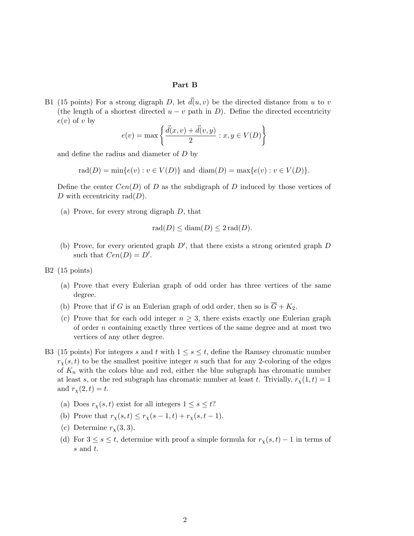## Part B

B1 (15 points) For a strong digraph D, let  $\vec{d}(u, v)$  be the directed distance from u to v (the length of a shortest directed  $u - v$  path in D). Define the directed eccentricity  $e(v)$  of v by

$$
e(v) = \max \left\{ \frac{\vec{d}(x, v) + \vec{d}(v, y)}{2} : x, y \in V(D) \right\}
$$

and define the radius and diameter of D by

 $rad(D) = min{e(v) : v \in V(D)}$  and  $diam(D) = max{e(v) : v \in V(D)}$ .

Define the center  $Cen(D)$  of D as the subdigraph of D induced by those vertices of D with eccentricity rad $(D)$ .

(a) Prove, for every strong digraph D, that

$$
rad(D) \leq diam(D) \leq 2 rad(D).
$$

- (b) Prove, for every oriented graph  $D'$ , that there exists a strong oriented graph  $D$ such that  $Cen(D) = D'$ .
- B2 (15 points)
	- (a) Prove that every Eulerian graph of odd order has three vertices of the same degree.
	- (b) Prove that if G is an Eulerian graph of odd order, then so is  $\overline{G} + K_2$ .
	- (c) Prove that for each odd integer  $n \geq 3$ , there exists exactly one Eulerian graph of order  $n$  containing exactly three vertices of the same degree and at most two vertices of any other degree.
- B3 (15 points) For integers s and t with  $1 \leq s \leq t$ , define the Ramsey chromatic number  $r_{\gamma}(s,t)$  to be the smallest positive integer n such that for any 2-coloring of the edges of  $K_n$  with the colors blue and red, either the blue subgraph has chromatic number at least s, or the red subgraph has chromatic number at least t. Trivially,  $r_{\chi}(1,t) = 1$ and  $r_{\chi}(2, t) = t$ .
	- (a) Does  $r_{\chi}(s,t)$  exist for all integers  $1 \leq s \leq t$ ?
	- (b) Prove that  $r_\chi(s, t) \leq r_\chi(s 1, t) + r_\chi(s, t 1)$ .
	- (c) Determine  $r_{\chi}(3,3)$ .
	- (d) For  $3 \leq s \leq t$ , determine with proof a simple formula for  $r_{\chi}(s,t) 1$  in terms of s and t.